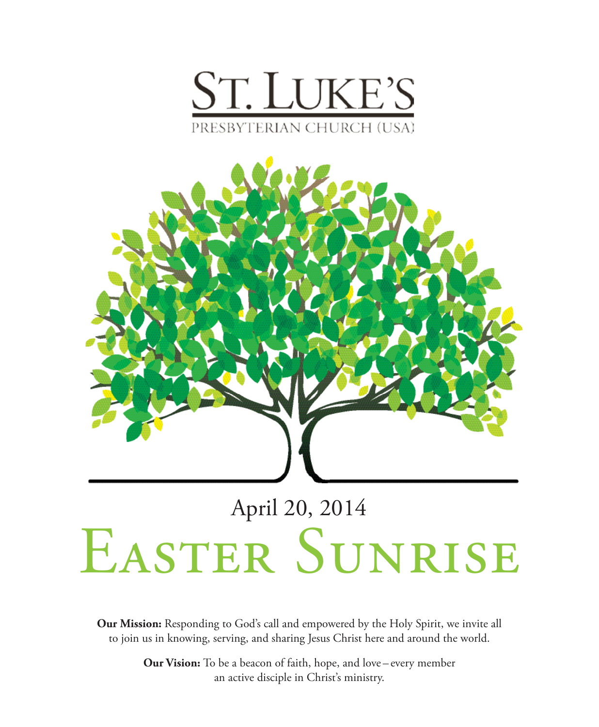



# EASTER SUNRISE

**Our Mission:** Responding to God's call and empowered by the Holy Spirit, we invite all to join us in knowing, serving, and sharing Jesus Christ here and around the world.

> **Our Vision:** To be a beacon of faith, hope, and love – every member an active disciple in Christ's ministry.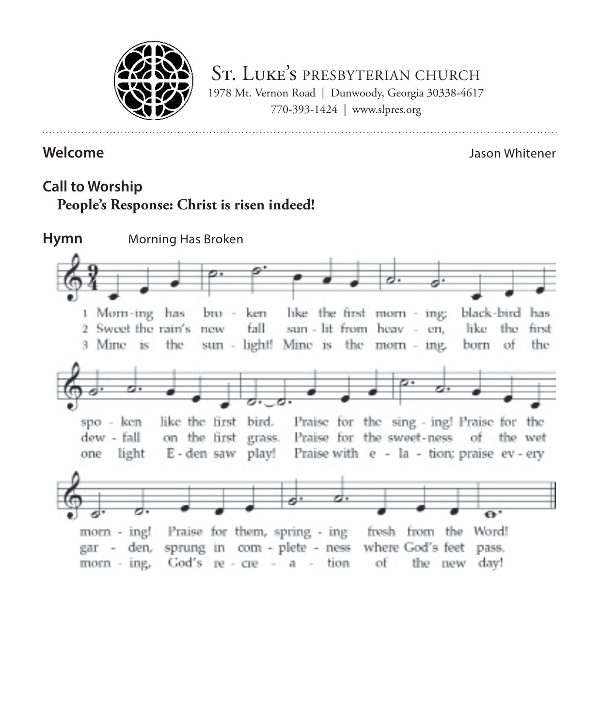

ST. LUKE'S PRESBYTERIAN CHURCH 1978 Mt. Vernon Road | Dunwoody, Georgia 30338-4617 770-393-1424 | www.slpres.org

#### **Welcome** Jason Whitener

# **Call to Worship People's Response: Christ is risen indeed!**

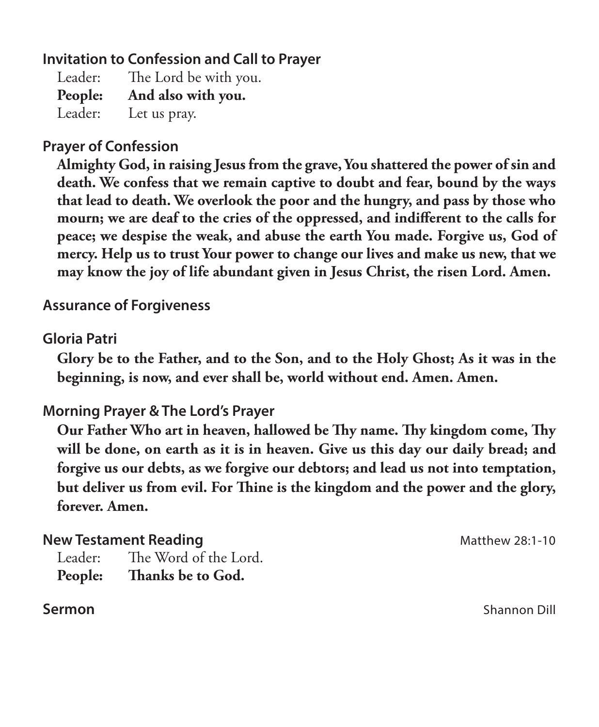# **Invitation to Confession and Call to Prayer**

Leader: The Lord be with you. **People: And also with you.** Leader: Let us pray.

# **Prayer of Confession**

 **Almighty God, in raising Jesus from the grave, You shattered the power of sin and death. We confess that we remain captive to doubt and fear, bound by the ways that lead to death. We overlook the poor and the hungry, and pass by those who mourn; we are deaf to the cries of the oppressed, and indifferent to the calls for peace; we despise the weak, and abuse the earth You made. Forgive us, God of mercy. Help us to trust Your power to change our lives and make us new, that we may know the joy of life abundant given in Jesus Christ, the risen Lord. Amen.**

## **Assurance of Forgiveness**

## **Gloria Patri**

 **Glory be to the Father, and to the Son, and to the Holy Ghost; As it was in the beginning, is now, and ever shall be, world without end. Amen. Amen.**

## **Morning Prayer & The Lord's Prayer**

 **Our Father Who art in heaven, hallowed be Thy name. Thy kingdom come, Thy will be done, on earth as it is in heaven. Give us this day our daily bread; and forgive us our debts, as we forgive our debtors; and lead us not into temptation, but deliver us from evil. For Thine is the kingdom and the power and the glory, forever. Amen.**

#### **New Testament Reading** Matthew 28:1-10

Leader: The Word of the Lord. **People: Thanks be to God.** 

**Sermon** Shannon Dill